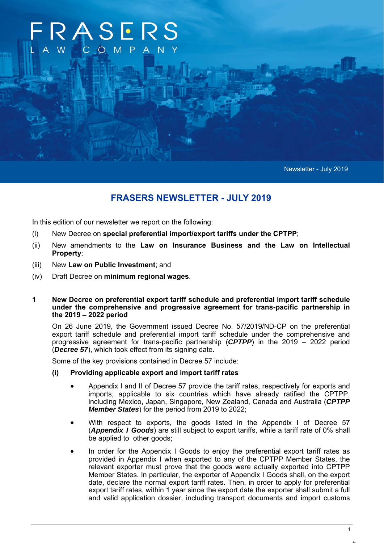# RASERS COM

Newsletter - July 2019

# **FRASERS NEWSLETTER - JULY 2019**

In this edition of our newsletter we report on the following:

- (i) New Decree on **special preferential import/export tariffs under the CPTPP**;
- (ii) New amendments to the **Law on Insurance Business and the Law on Intellectual Property**;
- (iii) New **Law on Public Investment**; and
- (iv) Draft Decree on **minimum regional wages**.

#### **1 New Decree on preferential export tariff schedule and preferential import tariff schedule under the comprehensive and progressive agreement for trans-pacific partnership in the 2019 – 2022 period**

On 26 June 2019, the Government issued Decree No. 57/2019/ND-CP on the preferential export tariff schedule and preferential import tariff schedule under the comprehensive and progressive agreement for trans-pacific partnership (*CPTPP*) in the 2019 – 2022 period (*Decree 57*), which took effect from its signing date.

Some of the key provisions contained in Decree 57 include:

- **(i) Providing applicable export and import tariff rates** 
	- Appendix I and II of Decree 57 provide the tariff rates, respectively for exports and imports, applicable to six countries which have already ratified the CPTPP, including Mexico, Japan, Singapore, New Zealand, Canada and Australia (*CPTPP Member States*) for the period from 2019 to 2022;
	- With respect to exports, the goods listed in the Appendix I of Decree 57 (*Appendix I Goods*) are still subject to export tariffs, while a tariff rate of 0% shall be applied to other goods;
	- In order for the Appendix I Goods to enjoy the preferential export tariff rates as provided in Appendix I when exported to any of the CPTPP Member States, the relevant exporter must prove that the goods were actually exported into CPTPP Member States. In particular, the exporter of Appendix I Goods shall, on the export date, declare the normal export tariff rates. Then, in order to apply for preferential export tariff rates, within 1 year since the export date the exporter shall submit a full and valid application dossier, including transport documents and import customs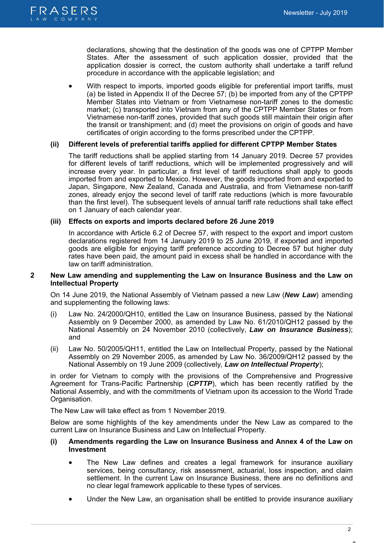

declarations, showing that the destination of the goods was one of CPTPP Member States. After the assessment of such application dossier, provided that the application dossier is correct, the custom authority shall undertake a tariff refund procedure in accordance with the applicable legislation; and

 With respect to imports, imported goods eligible for preferential import tariffs, must (a) be listed in Appendix II of the Decree 57; (b) be imported from any of the CPTPP Member States into Vietnam or from Vietnamese non-tariff zones to the domestic market; (c) transported into Vietnam from any of the CPTPP Member States or from Vietnamese non-tariff zones, provided that such goods still maintain their origin after the transit or transhipment; and (d) meet the provisions on origin of goods and have certificates of origin according to the forms prescribed under the CPTPP.

# **(ii) Different levels of preferential tariffs applied for different CPTPP Member States**

The tariff reductions shall be applied starting from 14 January 2019. Decree 57 provides for different levels of tariff reductions, which will be implemented progressively and will increase every year. In particular, a first level of tariff reductions shall apply to goods imported from and exported to Mexico. However, the goods imported from and exported to Japan, Singapore, New Zealand, Canada and Australia, and from Vietnamese non-tariff zones, already enjoy the second level of tariff rate reductions (which is more favourable than the first level). The subsequent levels of annual tariff rate reductions shall take effect on 1 January of each calendar year.

# **(iii) Effects on exports and imports declared before 26 June 2019**

In accordance with Article 6.2 of Decree 57, with respect to the export and import custom declarations registered from 14 January 2019 to 25 June 2019, if exported and imported goods are eligible for enjoying tariff preference according to Decree 57 but higher duty rates have been paid, the amount paid in excess shall be handled in accordance with the law on tariff administration.

# **2 New Law amending and supplementing the Law on Insurance Business and the Law on Intellectual Property**

On 14 June 2019, the National Assembly of Vietnam passed a new Law (*New Law*) amending and supplementing the following laws:

- (i) Law No. 24/2000/QH10, entitled the Law on Insurance Business, passed by the National Assembly on 9 December 2000, as amended by Law No. 61/2010/QH12 passed by the National Assembly on 24 November 2010 (collectively, *Law on Insurance Business*); and
- (ii) Law No. 50/2005/QH11, entitled the Law on Intellectual Property, passed by the National Assembly on 29 November 2005, as amended by Law No. 36/2009/QH12 passed by the National Assembly on 19 June 2009 (collectively*, Law on Intellectual Property*);

in order for Vietnam to comply with the provisions of the Comprehensive and Progressive Agreement for Trans-Pacific Partnership (*CPTTP*), which has been recently ratified by the National Assembly, and with the commitments of Vietnam upon its accession to the World Trade Organisation.

The New Law will take effect as from 1 November 2019.

Below are some highlights of the key amendments under the New Law as compared to the current Law on Insurance Business and Law on Intellectual Property.

# **(i) Amendments regarding the Law on Insurance Business and Annex 4 of the Law on Investment**

- The New Law defines and creates a legal framework for insurance auxiliary services, being consultancy, risk assessment, actuarial, loss inspection, and claim settlement. In the current Law on Insurance Business, there are no definitions and no clear legal framework applicable to these types of services.
- Under the New Law, an organisation shall be entitled to provide insurance auxiliary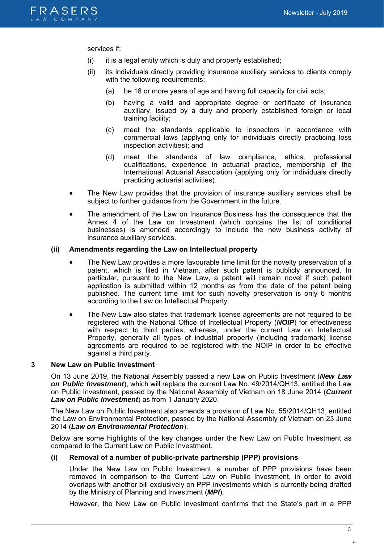

services if:

- (i) it is a legal entity which is duly and properly established;
- (ii) its individuals directly providing insurance auxiliary services to clients comply with the following requirements:
	- (a) be 18 or more years of age and having full capacity for civil acts;
	- (b) having a valid and appropriate degree or certificate of insurance auxiliary, issued by a duly and properly established foreign or local training facility;
	- (c) meet the standards applicable to inspectors in accordance with commercial laws (applying only for individuals directly practicing loss inspection activities); and
	- (d) meet the standards of law compliance, ethics, professional qualifications, experience in actuarial practice, membership of the International Actuarial Association (applying only for individuals directly practicing actuarial activities).
- The New Law provides that the provision of insurance auxiliary services shall be subject to further guidance from the Government in the future.
- The amendment of the Law on Insurance Business has the consequence that the Annex 4 of the Law on Investment (which contains the list of conditional businesses) is amended accordingly to include the new business activity of insurance auxiliary services.

#### **(ii) Amendments regarding the Law on Intellectual property**

- The New Law provides a more favourable time limit for the novelty preservation of a patent, which is filed in Vietnam, after such patent is publicly announced. In particular, pursuant to the New Law, a patent will remain novel if such patent application is submitted within 12 months as from the date of the patent being published. The current time limit for such novelty preservation is only 6 months according to the Law on Intellectual Property.
- The New Law also states that trademark license agreements are not required to be registered with the National Office of Intellectual Property (*NOIP*) for effectiveness with respect to third parties, whereas, under the current Law on Intellectual Property, generally all types of industrial property (including trademark) license agreements are required to be registered with the NOIP in order to be effective against a third party.

#### **3 New Law on Public Investment**

On 13 June 2019, the National Assembly passed a new Law on Public Investment (*New Law on Public Investment*), which will replace the current Law No. 49/2014/QH13, entitled the Law on Public Investment, passed by the National Assembly of Vietnam on 18 June 2014 (*Current Law on Public Investment*) as from 1 January 2020.

The New Law on Public Investment also amends a provision of Law No. 55/2014/QH13, entitled the Law on Environmental Protection, passed by the National Assembly of Vietnam on 23 June 2014 (*Law on Environmental Protection*).

Below are some highlights of the key changes under the New Law on Public Investment as compared to the Current Law on Public Investment.

#### **(i) Removal of a number of public-private partnership (PPP) provisions**

Under the New Law on Public Investment, a number of PPP provisions have been removed in comparison to the Current Law on Public Investment, in order to avoid overlaps with another bill exclusively on PPP investments which is currently being drafted by the Ministry of Planning and Investment (*MPI*).

However, the New Law on Public Investment confirms that the State's part in a PPP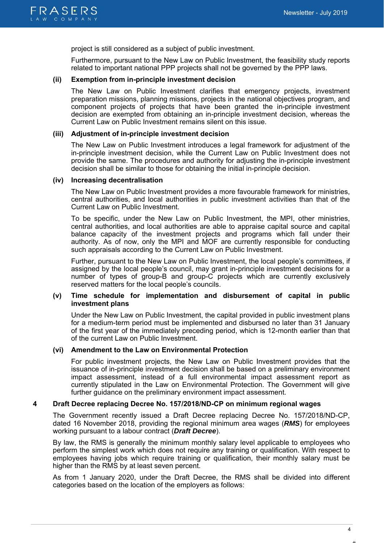

project is still considered as a subject of public investment.

Furthermore, pursuant to the New Law on Public Investment, the feasibility study reports related to important national PPP projects shall not be governed by the PPP laws.

#### **(ii) Exemption from in-principle investment decision**

The New Law on Public Investment clarifies that emergency projects, investment preparation missions, planning missions, projects in the national objectives program, and component projects of projects that have been granted the in-principle investment decision are exempted from obtaining an in-principle investment decision, whereas the Current Law on Public Investment remains silent on this issue.

#### **(iii) Adjustment of in-principle investment decision**

The New Law on Public Investment introduces a legal framework for adjustment of the in-principle investment decision, while the Current Law on Public Investment does not provide the same. The procedures and authority for adjusting the in-principle investment decision shall be similar to those for obtaining the initial in-principle decision.

#### **(iv) Increasing decentralisation**

The New Law on Public Investment provides a more favourable framework for ministries, central authorities, and local authorities in public investment activities than that of the Current Law on Public Investment.

To be specific, under the New Law on Public Investment, the MPI, other ministries, central authorities, and local authorities are able to appraise capital source and capital balance capacity of the investment projects and programs which fall under their authority. As of now, only the MPI and MOF are currently responsible for conducting such appraisals according to the Current Law on Public Investment.

Further, pursuant to the New Law on Public Investment, the local people's committees, if assigned by the local people's council, may grant in-principle investment decisions for a number of types of group-B and group-C projects which are currently exclusively reserved matters for the local people's councils.

### **(v) Time schedule for implementation and disbursement of capital in public investment plans**

Under the New Law on Public Investment, the capital provided in public investment plans for a medium-term period must be implemented and disbursed no later than 31 January of the first year of the immediately preceding period, which is 12-month earlier than that of the current Law on Public Investment.

### **(vi) Amendment to the Law on Environmental Protection**

For public investment projects, the New Law on Public Investment provides that the issuance of in-principle investment decision shall be based on a preliminary environment impact assessment, instead of a full environmental impact assessment report as currently stipulated in the Law on Environmental Protection. The Government will give further guidance on the preliminary environment impact assessment.

# **4 Draft Decree replacing Decree No. 157/2018/ND-CP on minimum regional wages**

The Government recently issued a Draft Decree replacing Decree No. 157/2018/ND-CP, dated 16 November 2018, providing the regional minimum area wages (*RMS*) for employees working pursuant to a labour contract (*Draft Decree*).

By law, the RMS is generally the minimum monthly salary level applicable to employees who perform the simplest work which does not require any training or qualification. With respect to employees having jobs which require training or qualification, their monthly salary must be higher than the RMS by at least seven percent.

As from 1 January 2020, under the Draft Decree, the RMS shall be divided into different categories based on the location of the employers as follows: